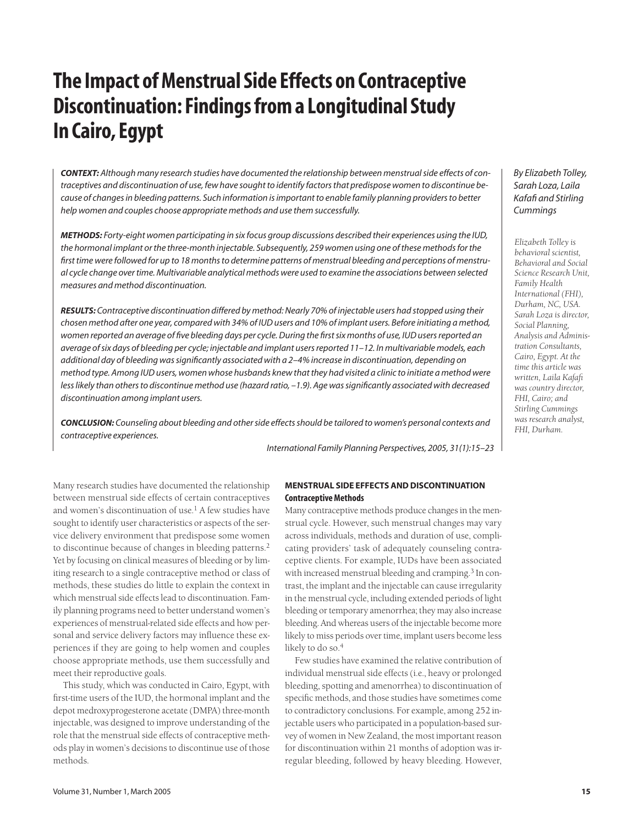# **The Impact of Menstrual Side Effects on Contraceptive Discontinuation: Findings from a Longitudinal Study In Cairo, Egypt**

*CONTEXT: Although many research studies have documented the relationship between menstrual side effects of contraceptives and discontinuation of use, few have sought to identify factors that predispose women to discontinue because of changes in bleeding patterns. Such information is important to enable family planning providers to better help women and couples choose appropriate methods and use them successfully.*

*METHODS: Forty-eight women participating in six focus group discussions described their experiences using the IUD, the hormonal implant or the three-month injectable. Subsequently, 259 women using one of these methods for the first time were followed for up to 18 months to determine patterns of menstrual bleeding and perceptions of menstrual cycle change over time. Multivariable analytical methods were used to examine the associations between selected measures and method discontinuation.*

*RESULTS: Contraceptive discontinuation differed by method: Nearly 70% of injectable users had stopped using their chosen method after one year, compared with 34% of IUD users and 10% of implant users. Before initiating a method, women reported an average of five bleeding days per cycle. During the first six months of use, IUD users reported an average of six days of bleeding per cycle; injectable and implant users reported 11–12. In multivariable models, each additional day of bleeding was significantly associated with a 2–4% increase in discontinuation, depending on method type. Among IUD users, women whose husbands knew that they had visited a clinic to initiate a method were less likely than others to discontinue method use (hazard ratio, –1.9). Age was significantly associated with decreased discontinuation among implant users.*

*CONCLUSION: Counseling about bleeding and other side effects should be tailored to women's personal contexts and contraceptive experiences.*

*International Family Planning Perspectives, 2005, 31(1):15–23*

## *By Elizabeth Tolley, Sarah Loza, Laila Kafafi and Stirling Cummings*

*Elizabeth Tolley is behavioral scientist, Behavioral and Social Science Research Unit, Family Health International (FHI), Durham, NC, USA. Sarah Loza is director, Social Planning, Analysis and Administration Consultants, Cairo, Egypt. At the time this article was written, Laila Kafafi was country director, FHI, Cairo; and Stirling Cummings was research analyst, FHI, Durham.*

Many research studies have documented the relationship between menstrual side effects of certain contraceptives and women's discontinuation of use.<sup>1</sup> A few studies have sought to identify user characteristics or aspects of the service delivery environment that predispose some women to discontinue because of changes in bleeding patterns.<sup>2</sup> Yet by focusing on clinical measures of bleeding or by limiting research to a single contraceptive method or class of methods, these studies do little to explain the context in which menstrual side effects lead to discontinuation. Family planning programs need to better understand women's experiences of menstrual-related side effects and how personal and service delivery factors may influence these experiences if they are going to help women and couples choose appropriate methods, use them successfully and meet their reproductive goals.

This study, which was conducted in Cairo, Egypt, with first-time users of the IUD, the hormonal implant and the depot medroxyprogesterone acetate (DMPA) three-month injectable, was designed to improve understanding of the role that the menstrual side effects of contraceptive methods play in women's decisions to discontinue use of those methods.

## **MENSTRUAL SIDE EFFECTS AND DISCONTINUATION Contraceptive Methods**

Many contraceptive methods produce changes in the menstrual cycle. However, such menstrual changes may vary across individuals, methods and duration of use, complicating providers' task of adequately counseling contraceptive clients. For example, IUDs have been associated with increased menstrual bleeding and cramping.<sup>3</sup> In contrast, the implant and the injectable can cause irregularity in the menstrual cycle, including extended periods of light bleeding or temporary amenorrhea; they may also increase bleeding. And whereas users of the injectable become more likely to miss periods over time, implant users become less likely to do so.<sup>4</sup>

Few studies have examined the relative contribution of individual menstrual side effects (i.e., heavy or prolonged bleeding, spotting and amenorrhea) to discontinuation of specific methods, and those studies have sometimes come to contradictory conclusions. For example, among 252 injectable users who participated in a population-based survey of women in New Zealand, the most important reason for discontinuation within 21 months of adoption was irregular bleeding, followed by heavy bleeding. However,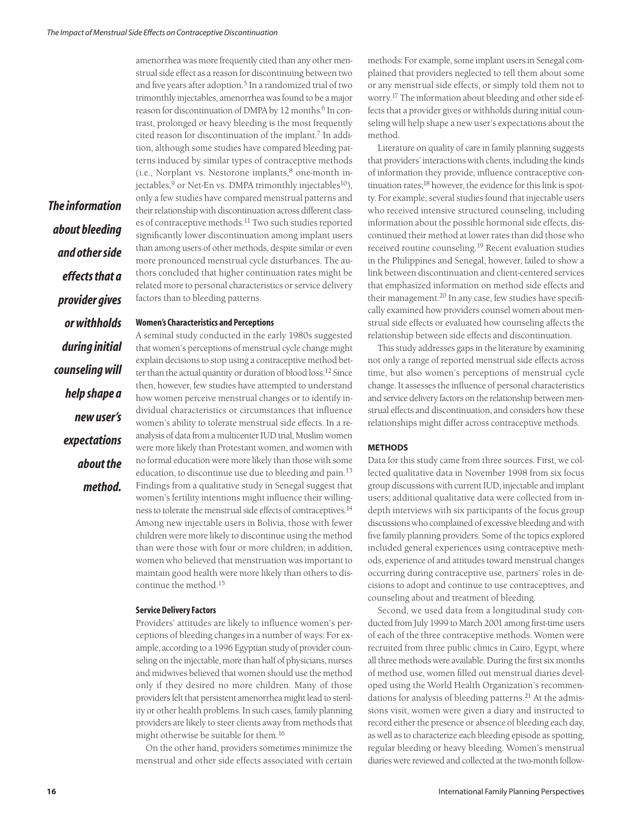amenorrhea was more frequently cited than any other menstrual side effect as a reason for discontinuing between two and five years after adoption.<sup>5</sup> In a randomized trial of two trimonthly injectables, amenorrhea was found to be a major reason for discontinuation of DMPA by 12 months.<sup>6</sup> In contrast, prolonged or heavy bleeding is the most frequently cited reason for discontinuation of the implant.<sup>7</sup> In addition, although some studies have compared bleeding patterns induced by similar types of contraceptive methods  $(i.e.,$  Norplant vs. Nestorone implants, $8$  one-month injectables,  $9$  or Net-En vs. DMPA trimonthly injectables<sup>10</sup>), only a few studies have compared menstrual patterns and their relationship with discontinuation across different classes of contraceptive methods.<sup>11</sup> Two such studies reported significantly lower discontinuation among implant users than among users of other methods, despite similar or even more pronounced menstrual cycle disturbances. The authors concluded that higher continuation rates might be related more to personal characteristics or service delivery factors than to bleeding patterns.

## *provider gives or withholds during initial counseling will help shape a new user's expectations about the method.*

*The information*

*about bleeding*

*and other side*

*effects that a*

## **Women's Characteristics and Perceptions**

A seminal study conducted in the early 1980s suggested that women's perceptions of menstrual cycle change might explain decisions to stop using a contraceptive method better than the actual quantity or duration of blood loss.12 Since then, however, few studies have attempted to understand how women perceive menstrual changes or to identify individual characteristics or circumstances that influence women's ability to tolerate menstrual side effects. In a reanalysis of data from a multicenter IUD trial, Muslim women were more likely than Protestant women, and women with no formal education were more likely than those with some education, to discontinue use due to bleeding and pain.<sup>13</sup> Findings from a qualitative study in Senegal suggest that women's fertility intentions might influence their willingness to tolerate the menstrual side effects of contraceptives.<sup>14</sup> Among new injectable users in Bolivia, those with fewer children were more likely to discontinue using the method than were those with four or more children; in addition, women who believed that menstruation was important to maintain good health were more likely than others to discontinue the method.<sup>15</sup>

## **Service Delivery Factors**

Providers' attitudes are likely to influence women's perceptions of bleeding changes in a number of ways: For example, according to a 1996 Egyptian study of provider counseling on the injectable, more than half of physicians, nurses and midwives believed that women should use the method only if they desired no more children. Many of those providers felt that persistent amenorrhea might lead to sterility or other health problems. In such cases, family planning providers are likely to steer clients away from methods that might otherwise be suitable for them.<sup>16</sup>

On the other hand, providers sometimes minimize the menstrual and other side effects associated with certain methods: For example, some implant users in Senegal complained that providers neglected to tell them about some or any menstrual side effects, or simply told them not to worry.17 The information about bleeding and other side effects that a provider gives or withholds during initial counseling will help shape a new user's expectations about the method.

Literature on quality of care in family planning suggests that providers' interactions with clients, including the kinds of information they provide, influence contraceptive continuation rates;18 however, the evidence for this link is spotty. For example, several studies found that injectable users who received intensive structured counseling, including information about the possible hormonal side effects, discontinued their method at lower rates than did those who received routine counseling.<sup>19</sup> Recent evaluation studies in the Philippines and Senegal, however, failed to show a link between discontinuation and client-centered services that emphasized information on method side effects and their management.<sup>20</sup> In any case, few studies have specifically examined how providers counsel women about menstrual side effects or evaluated how counseling affects the relationship between side effects and discontinuation.

This study addresses gaps in the literature by examining not only a range of reported menstrual side effects across time, but also women's perceptions of menstrual cycle change. It assesses the influence of personal characteristics and service delivery factors on the relationship between menstrual effects and discontinuation, and considers how these relationships might differ across contraceptive methods.

## **METHODS**

Data for this study came from three sources. First, we collected qualitative data in November 1998 from six focus group discussions with current IUD, injectable and implant users; additional qualitative data were collected from indepth interviews with six participants of the focus group discussions who complained of excessive bleeding and with five family planning providers. Some of the topics explored included general experiences using contraceptive methods, experience of and attitudes toward menstrual changes occurring during contraceptive use, partners' roles in decisions to adopt and continue to use contraceptives, and counseling about and treatment of bleeding.

Second, we used data from a longitudinal study conducted from July 1999 to March 2001 among first-time users of each of the three contraceptive methods. Women were recruited from three public clinics in Cairo, Egypt, where all three methods were available. During the first six months of method use, women filled out menstrual diaries developed using the World Health Organization's recommendations for analysis of bleeding patterns.<sup>21</sup> At the admissions visit, women were given a diary and instructed to record either the presence or absence of bleeding each day, as well as to characterize each bleeding episode as spotting, regular bleeding or heavy bleeding. Women's menstrual diaries were reviewed and collected at the two-month follow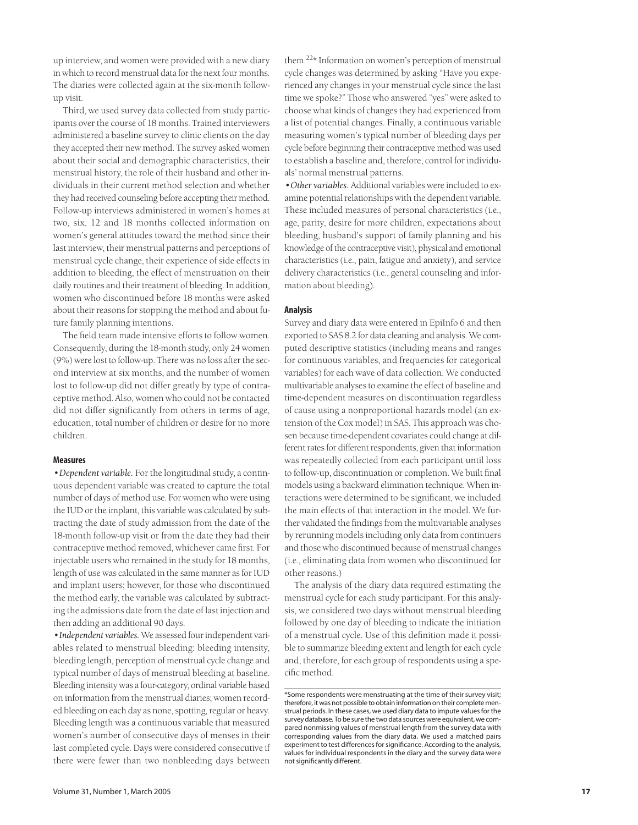up interview, and women were provided with a new diary in which to record menstrual data for the next four months. The diaries were collected again at the six-month followup visit.

Third, we used survey data collected from study participants over the course of 18 months. Trained interviewers administered a baseline survey to clinic clients on the day they accepted their new method. The survey asked women about their social and demographic characteristics, their menstrual history, the role of their husband and other individuals in their current method selection and whether they had received counseling before accepting their method. Follow-up interviews administered in women's homes at two, six, 12 and 18 months collected information on women's general attitudes toward the method since their last interview, their menstrual patterns and perceptions of menstrual cycle change, their experience of side effects in addition to bleeding, the effect of menstruation on their daily routines and their treatment of bleeding. In addition, women who discontinued before 18 months were asked about their reasons for stopping the method and about future family planning intentions.

The field team made intensive efforts to follow women. Consequently, during the 18-month study, only 24 women (9%) were lost to follow-up. There was no loss after the second interview at six months, and the number of women lost to follow-up did not differ greatly by type of contraceptive method. Also, women who could not be contacted did not differ significantly from others in terms of age, education, total number of children or desire for no more children.

## **Measures**

*•Dependent variable.* For the longitudinal study, a continuous dependent variable was created to capture the total number of days of method use. For women who were using the IUD or the implant, this variable was calculated by subtracting the date of study admission from the date of the 18-month follow-up visit or from the date they had their contraceptive method removed, whichever came first. For injectable users who remained in the study for 18 months, length of use was calculated in the same manner as for IUD and implant users; however, for those who discontinued the method early, the variable was calculated by subtracting the admissions date from the date of last injection and then adding an additional 90 days.

*•Independent variables.* We assessed four independent variables related to menstrual bleeding: bleeding intensity, bleeding length, perception of menstrual cycle change and typical number of days of menstrual bleeding at baseline. Bleeding intensity was a four-category, ordinal variable based on information from the menstrual diaries; women recorded bleeding on each day as none, spotting, regular or heavy. Bleeding length was a continuous variable that measured women's number of consecutive days of menses in their last completed cycle. Days were considered consecutive if there were fewer than two nonbleeding days between

them.22\* Information on women's perception of menstrual cycle changes was determined by asking "Have you experienced any changes in your menstrual cycle since the last time we spoke?" Those who answered "yes" were asked to choose what kinds of changes they had experienced from a list of potential changes. Finally, a continuous variable measuring women's typical number of bleeding days per cycle before beginning their contraceptive method was used to establish a baseline and, therefore, control for individuals' normal menstrual patterns.

*•Other variables.* Additional variables were included to examine potential relationships with the dependent variable. These included measures of personal characteristics (i.e., age, parity, desire for more children, expectations about bleeding, husband's support of family planning and his knowledge of the contraceptive visit), physical and emotional characteristics (i.e., pain, fatigue and anxiety), and service delivery characteristics (i.e., general counseling and information about bleeding).

## **Analysis**

Survey and diary data were entered in EpiInfo 6 and then exported to SAS 8.2 for data cleaning and analysis. We computed descriptive statistics (including means and ranges for continuous variables, and frequencies for categorical variables) for each wave of data collection. We conducted multivariable analyses to examine the effect of baseline and time-dependent measures on discontinuation regardless of cause using a nonproportional hazards model (an extension of the Cox model) in SAS. This approach was chosen because time-dependent covariates could change at different rates for different respondents, given that information was repeatedly collected from each participant until loss to follow-up, discontinuation or completion. We built final models using a backward elimination technique. When interactions were determined to be significant, we included the main effects of that interaction in the model. We further validated the findings from the multivariable analyses by rerunning models including only data from continuers and those who discontinued because of menstrual changes (i.e., eliminating data from women who discontinued for other reasons.)

The analysis of the diary data required estimating the menstrual cycle for each study participant. For this analysis, we considered two days without menstrual bleeding followed by one day of bleeding to indicate the initiation of a menstrual cycle. Use of this definition made it possible to summarize bleeding extent and length for each cycle and, therefore, for each group of respondents using a specific method.

<sup>\*</sup>Some respondents were menstruating at the time of their survey visit; therefore, it was not possible to obtain information on their complete menstrual periods. In these cases, we used diary data to impute values for the survey database. To be sure the two data sources were equivalent, we compared nonmissing values of menstrual length from the survey data with corresponding values from the diary data. We used a matched pairs experiment to test differences for significance. According to the analysis, values for individual respondents in the diary and the survey data were not significantly different.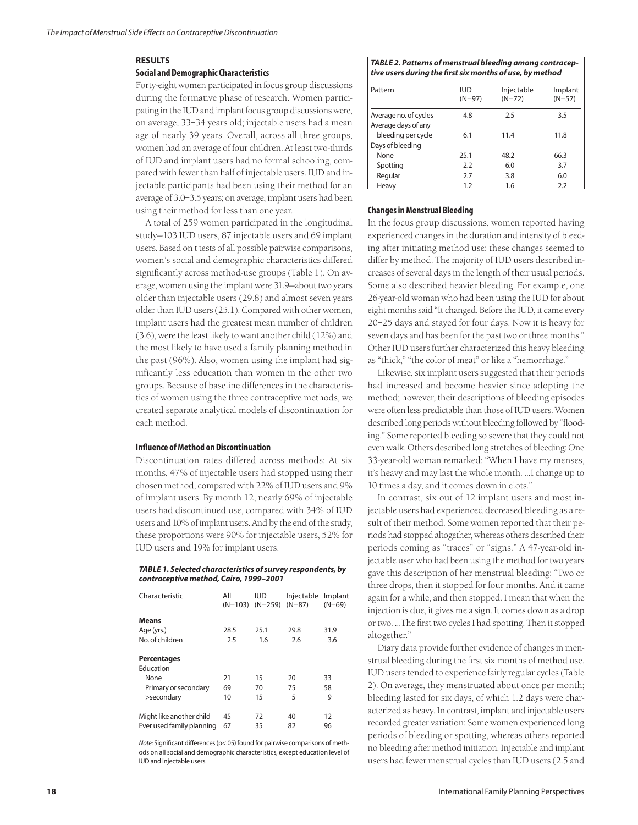## **RESULTS**

## **Social and Demographic Characteristics**

Forty-eight women participated in focus group discussions during the formative phase of research. Women participating in the IUD and implant focus group discussions were, on average, 33–34 years old; injectable users had a mean age of nearly 39 years. Overall, across all three groups, women had an average of four children. At least two-thirds of IUD and implant users had no formal schooling, compared with fewer than half of injectable users. IUD and injectable participants had been using their method for an average of 3.0–3.5 years; on average, implant users had been using their method for less than one year.

A total of 259 women participated in the longitudinal study—103 IUD users, 87 injectable users and 69 implant users. Based on t tests of all possible pairwise comparisons, women's social and demographic characteristics differed significantly across method-use groups (Table 1). On average, women using the implant were 31.9—about two years older than injectable users (29.8) and almost seven years older than IUD users (25.1). Compared with other women, implant users had the greatest mean number of children (3.6), were the least likely to want another child (12%) and the most likely to have used a family planning method in the past (96%). Also, women using the implant had significantly less education than women in the other two groups. Because of baseline differences in the characteristics of women using the three contraceptive methods, we created separate analytical models of discontinuation for each method.

## **Influence of Method on Discontinuation**

Discontinuation rates differed across methods: At six months, 47% of injectable users had stopped using their chosen method, compared with 22% of IUD users and 9% of implant users. By month 12, nearly 69% of injectable users had discontinued use, compared with 34% of IUD users and 10% of implant users. And by the end of the study, these proportions were 90% for injectable users, 52% for IUD users and 19% for implant users.

## *TABLE 1. Selected characteristics of survey respondents, by contraceptive method, Cairo, 1999–2001*

| Characteristic            | All<br>$(N=103)$ | <b>IUD</b><br>$(N=259)$ | Injectable<br>$(N=87)$ | Implant<br>$(N=69)$ |
|---------------------------|------------------|-------------------------|------------------------|---------------------|
| <b>Means</b>              |                  |                         |                        |                     |
| Age (yrs.)                | 28.5             | 25.1                    | 29.8                   | 31.9                |
| No. of children           | 2.5              | 1.6                     | 2.6                    | 3.6                 |
| <b>Percentages</b>        |                  |                         |                        |                     |
| Education                 |                  |                         |                        |                     |
| None                      | 21               | 15                      | 20                     | 33                  |
| Primary or secondary      | 69               | 70                      | 75                     | 58                  |
| >secondary                | 10               | 15                      | 5                      | 9                   |
| Might like another child  | 45               | 72                      | 40                     | 12                  |
| Ever used family planning | 67               | 35                      | 82                     | 96                  |

*Note:* Significant differences (p<.05) found for pairwise comparisons of methods on all social and demographic characteristics, except education level of IUD and injectable users.

#### *TABLE 2. Patterns of menstrual bleeding among contraceptive users during the first six months of use, by method*

| Pattern                                      | <b>IUD</b><br>$(N=97)$ | Injectable<br>$(N=72)$ | Implant<br>$(N=57)$ |
|----------------------------------------------|------------------------|------------------------|---------------------|
| Average no. of cycles<br>Average days of any | 4.8                    | 2.5                    | 3.5                 |
| bleeding per cycle<br>Days of bleeding       | 6.1                    | 11.4                   | 11.8                |
| None                                         | 25.1                   | 48.2                   | 66.3                |
| Spotting                                     | 2.2                    | 6.0                    | 3.7                 |
| Regular                                      | 2.7                    | 3.8                    | 6.0                 |
| Heavy                                        | 1.2                    | 1.6                    | 2.2                 |

## **Changes in Menstrual Bleeding**

In the focus group discussions, women reported having experienced changes in the duration and intensity of bleeding after initiating method use; these changes seemed to differ by method. The majority of IUD users described increases of several days in the length of their usual periods. Some also described heavier bleeding. For example, one 26-year-old woman who had been using the IUD for about eight months said "It changed. Before the IUD, it came every 20–25 days and stayed for four days. Now it is heavy for seven days and has been for the past two or three months." Other IUD users further characterized this heavy bleeding as "thick," "the color of meat" or like a "hemorrhage."

Likewise, six implant users suggested that their periods had increased and become heavier since adopting the method; however, their descriptions of bleeding episodes were often less predictable than those of IUD users. Women described long periods without bleeding followed by "flooding." Some reported bleeding so severe that they could not even walk. Others described long stretches of bleeding: One 33-year-old woman remarked: "When I have my menses, it's heavy and may last the whole month. …I change up to 10 times a day, and it comes down in clots."

In contrast, six out of 12 implant users and most injectable users had experienced decreased bleeding as a result of their method. Some women reported that their periods had stopped altogether, whereas others described their periods coming as "traces" or "signs." A 47-year-old injectable user who had been using the method for two years gave this description of her menstrual bleeding: "Two or three drops, then it stopped for four months. And it came again for a while, and then stopped. I mean that when the injection is due, it gives me a sign. It comes down as a drop or two. …The first two cycles I had spotting. Then it stopped altogether."

Diary data provide further evidence of changes in menstrual bleeding during the first six months of method use. IUD users tended to experience fairly regular cycles (Table 2). On average, they menstruated about once per month; bleeding lasted for six days, of which 1.2 days were characterized as heavy. In contrast, implant and injectable users recorded greater variation: Some women experienced long periods of bleeding or spotting, whereas others reported no bleeding after method initiation. Injectable and implant users had fewer menstrual cycles than IUD users (2.5 and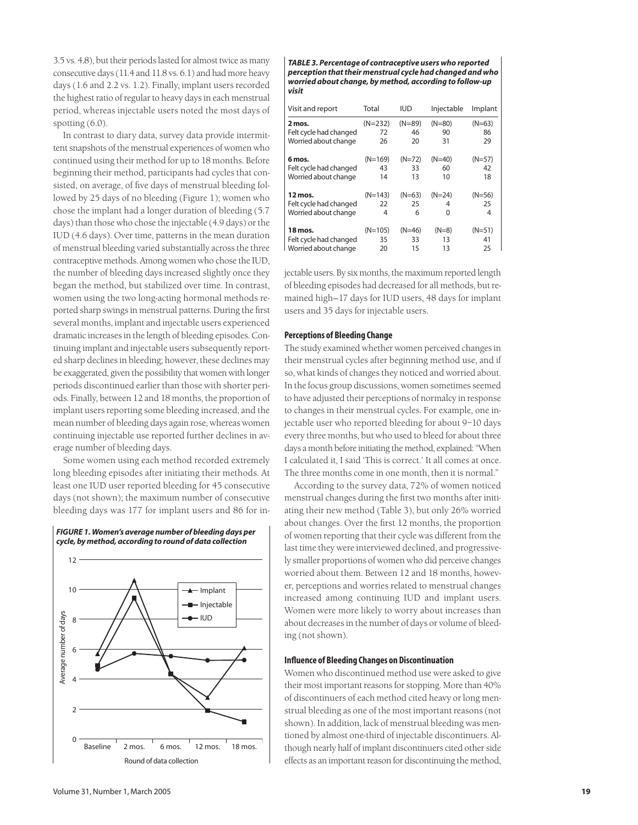3.5 vs. 4.8), but their periods lasted for almost twice as many consecutive days (11.4 and 11.8 vs. 6.1) and had more heavy days (1.6 and 2.2 vs. 1.2). Finally, implant users recorded the highest ratio of regular to heavy days in each menstrual period, whereas injectable users noted the most days of spotting (6.0).

In contrast to diary data, survey data provide intermittent snapshots of the menstrual experiences of women who continued using their method for up to 18 months. Before beginning their method, participants had cycles that consisted, on average, of five days of menstrual bleeding followed by 25 days of no bleeding (Figure 1); women who chose the implant had a longer duration of bleeding (5.7 days) than those who chose the injectable (4.9 days) or the IUD (4.6 days). Over time, patterns in the mean duration of menstrual bleeding varied substantially across the three contraceptive methods. Among women who chose the IUD, the number of bleeding days increased slightly once they began the method, but stabilized over time. In contrast, women using the two long-acting hormonal methods reported sharp swings in menstrual patterns. During the first several months, implant and injectable users experienced dramatic increases in the length of bleeding episodes. Continuing implant and injectable users subsequently reported sharp declines in bleeding; however, these declines may be exaggerated, given the possibility that women with longer periods discontinued earlier than those with shorter periods. Finally, between 12 and 18 months, the proportion of implant users reporting some bleeding increased, and the mean number of bleeding days again rose, whereas women continuing injectable use reported further declines in average number of bleeding days.

Some women using each method recorded extremely long bleeding episodes after initiating their methods. At least one IUD user reported bleeding for 45 consecutive days (not shown); the maximum number of consecutive bleeding days was 177 for implant users and 86 for in-





*TABLE 3. Percentage of contraceptive users who reported perception that their menstrual cycle had changed and who worried about change, by method, according to follow-up visit*

| Visit and report       | Total     | iud      | Injectable | Implant  |
|------------------------|-----------|----------|------------|----------|
| 2 mos.                 | $(N=232)$ | $(N=89)$ | $(N=80)$   | $(N=63)$ |
| Felt cycle had changed | 72        | 46       | 90         | 86       |
| Worried about change   | 26        | 20       | 31         | 29       |
| 6 mos.                 | $(N=169)$ | (N=72)   | $(N=40)$   | (N=57)   |
| Felt cycle had changed | 43        | 33       | 60         | 42       |
| Worried about change   | 14        | 13       | 10         | 18       |
| 12 mos.                | $(N=143)$ | $(N=63)$ | $(N=24)$   | $(N=56)$ |
| Felt cycle had changed | 22        | 25       | 4          | 25       |
| Worried about change   | 4         | 6        | 0          | 4        |
| 18 mos.                | $(N=105)$ | (N=46)   | $(N=8)$    | $(N=51)$ |
| Felt cycle had changed | 35        | 33       | 13         | 41       |
| Worried about change   | 20        | 15       | 13         | 25       |

jectable users. By six months, the maximum reported length of bleeding episodes had decreased for all methods, but remained high—17 days for IUD users, 48 days for implant users and 35 days for injectable users.

## **Perceptions of Bleeding Change**

The study examined whether women perceived changes in their menstrual cycles after beginning method use, and if so, what kinds of changes they noticed and worried about. In the focus group discussions, women sometimes seemed to have adjusted their perceptions of normalcy in response to changes in their menstrual cycles. For example, one injectable user who reported bleeding for about 9–10 days every three months, but who used to bleed for about three days a month before initiating the method, explained: "When I calculated it, I said 'This is correct.' It all comes at once. The three months come in one month, then it is normal."

According to the survey data, 72% of women noticed menstrual changes during the first two months after initiating their new method (Table 3), but only 26% worried about changes. Over the first 12 months, the proportion of women reporting that their cycle was different from the last time they were interviewed declined, and progressively smaller proportions of women who did perceive changes worried about them. Between 12 and 18 months, however, perceptions and worries related to menstrual changes increased among continuing IUD and implant users. Women were more likely to worry about increases than about decreases in the number of days or volume of bleeding (not shown).

## **Influence of Bleeding Changes on Discontinuation**

Women who discontinued method use were asked to give their most important reasons for stopping. More than 40% of discontinuers of each method cited heavy or long menstrual bleeding as one of the most important reasons (not shown). In addition, lack of menstrual bleeding was mentioned by almost one-third of injectable discontinuers. Although nearly half of implant discontinuers cited other side effects as an important reason for discontinuing the method,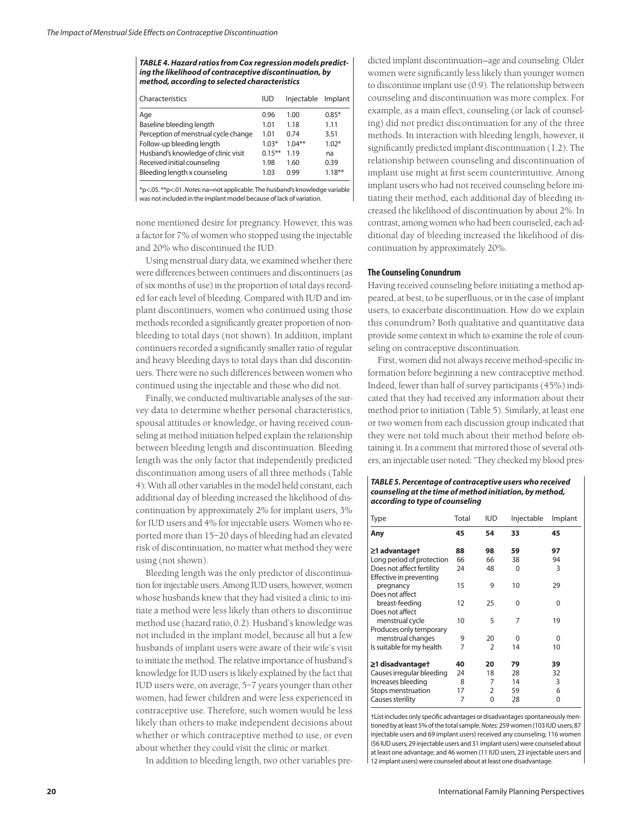| TABLE 4. Hazard ratios from Cox regression models predict- |
|------------------------------------------------------------|
| ing the likelihood of contraceptive discontinuation, by    |
| method, according to selected characteristics              |

| Characteristics                      | IUD       | Injectable | Implant   |
|--------------------------------------|-----------|------------|-----------|
| Age                                  | 0.96      | 1.00       | $0.85*$   |
| Baseline bleeding length             | 1.01      | 1.18       | 1.11      |
| Perception of menstrual cycle change | 1.01      | 0.74       | 3.51      |
| Follow-up bleeding length            | $1.03*$   | $1.04***$  | $1.02*$   |
| Husband's knowledge of clinic visit  | $0.15***$ | 1.19       | na        |
| Received initial counseling          | 1.98      | 1.60       | 0.39      |
| Bleeding length x counseling         | 1.03      | 0.99       | $1.18***$ |
|                                      |           |            |           |

\*p<.05. \*\*p<.01. *Notes:* na=not applicable. The husband's knowledge variable was not included in the implant model because of lack of variation.

none mentioned desire for pregnancy. However, this was a factor for 7% of women who stopped using the injectable and 20% who discontinued the IUD.

Using menstrual diary data, we examined whether there were differences between continuers and discontinuers (as of six months of use) in the proportion of total days recorded for each level of bleeding. Compared with IUD and implant discontinuers, women who continued using those methods recorded a significantly greater proportion of nonbleeding to total days (not shown). In addition, implant continuers recorded a significantly smaller ratio of regular and heavy bleeding days to total days than did discontinuers. There were no such differences between women who continued using the injectable and those who did not.

Finally, we conducted multivariable analyses of the survey data to determine whether personal characteristics, spousal attitudes or knowledge, or having received counseling at method initiation helped explain the relationship between bleeding length and discontinuation. Bleeding length was the only factor that independently predicted discontinuation among users of all three methods (Table 4): With all other variables in the model held constant, each additional day of bleeding increased the likelihood of discontinuation by approximately 2% for implant users, 3% for IUD users and 4% for injectable users. Women who reported more than 15–20 days of bleeding had an elevated risk of discontinuation, no matter what method they were using (not shown).

Bleeding length was the only predictor of discontinuation for injectable users. Among IUD users, however, women whose husbands knew that they had visited a clinic to initiate a method were less likely than others to discontinue method use (hazard ratio, 0.2). Husband's knowledge was not included in the implant model, because all but a few husbands of implant users were aware of their wife's visit to initiate the method. The relative importance of husband's knowledge for IUD users is likely explained by the fact that IUD users were, on average, 5–7 years younger than other women, had fewer children and were less experienced in contraceptive use. Therefore, such women would be less likely than others to make independent decisions about whether or which contraceptive method to use, or even about whether they could visit the clinic or market.

In addition to bleeding length, two other variables pre-

dicted implant discontinuation—age and counseling. Older women were significantly less likely than younger women to discontinue implant use (0.9). The relationship between counseling and discontinuation was more complex. For example, as a main effect, counseling (or lack of counseling) did not predict discontinuation for any of the three methods. In interaction with bleeding length, however, it significantly predicted implant discontinuation (1.2). The relationship between counseling and discontinuation of implant use might at first seem counterintuitive. Among implant users who had not received counseling before initiating their method, each additional day of bleeding increased the likelihood of discontinuation by about 2%. In contrast, among women who had been counseled, each additional day of bleeding increased the likelihood of discontinuation by approximately 20%.

## **The Counseling Conundrum**

Having received counseling before initiating a method appeared, at best, to be superfluous, or in the case of implant users, to exacerbate discontinuation. How do we explain this conundrum? Both qualitative and quantitative data provide some context in which to examine the role of counseling on contraceptive discontinuation.

First, women did not always receive method-specific information before beginning a new contraceptive method. Indeed, fewer than half of survey participants (45%) indicated that they had received any information about their method prior to initiation (Table 5). Similarly, at least one or two women from each discussion group indicated that they were not told much about their method before obtaining it. In a comment that mirrored those of several others, an injectable user noted: "They checked my blood pres-

#### *TABLE 5. Percentage of contraceptive users who received counseling at the time of method initiation, by method, according to type of counseling*

| <b>Type</b>                                          | Total | <b>IUD</b>     | Injectable | Implant |
|------------------------------------------------------|-------|----------------|------------|---------|
| Any                                                  | 45    | 54             | 33         | 45      |
| ≥1 advantage†                                        | 88    | 98             | 59         | 97      |
| Long period of protection                            | 66    | 66             | 38         | 94      |
| Does not affect fertility<br>Effective in preventing | 24    | 48             | 0          | 3       |
| pregnancy<br>Does not affect                         | 15    | 9              | 10         | 29      |
| breast-feeding<br>Does not affect                    | 12    | 25             | 0          | 0       |
| menstrual cycle<br>Produces only temporary           | 10    | 5              | 7          | 19      |
| menstrual changes                                    | 9     | 20             | 0          | 0       |
| Is suitable for my health                            | 7     | $\overline{2}$ | 14         | 10      |
| ≥1 disadvantage†                                     | 40    | 20             | 79         | 39      |
| Causes irregular bleeding                            | 24    | 18             | 28         | 32      |
| Increases bleeding                                   | 8     | 7              | 14         | 3       |
| Stops menstruation                                   | 17    | $\overline{2}$ | 59         | 6       |
| Causes sterility                                     | 7     | 0              | 28         | 0       |

†List includes only specific advantages or disadvantages spontaneously mentioned by at least 5% of the total sample. *Notes:* 259 women (103 IUD users, 87 injectable users and 69 implant users) received any counseling; 116 women (56 IUD users, 29 injectable users and 31 implant users) were counseled about at least one advantage; and 46 women (11 IUD users, 23 injectable users and 12 implant users) were counseled about at least one disadvantage.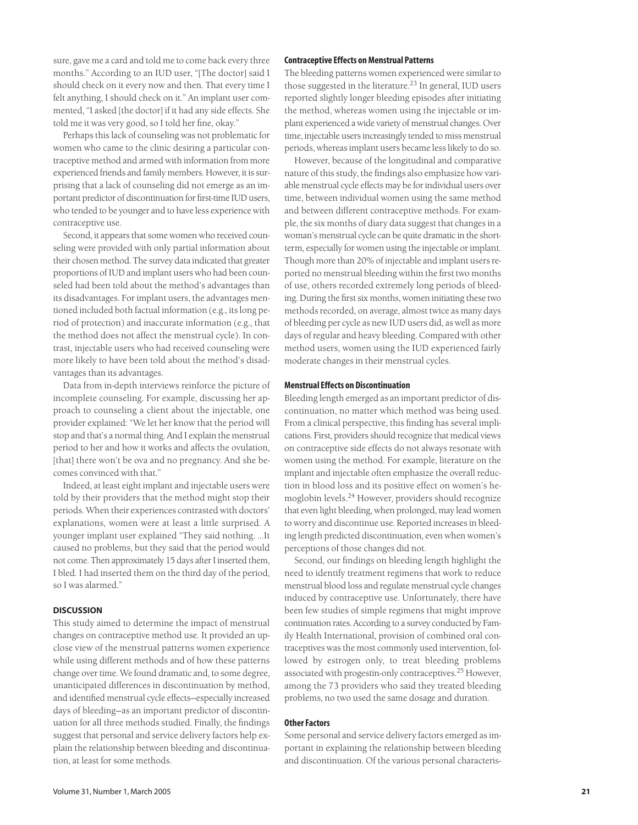sure, gave me a card and told me to come back every three months." According to an IUD user, "[The doctor] said I should check on it every now and then. That every time I felt anything, I should check on it." An implant user commented, "I asked [the doctor] if it had any side effects. She told me it was very good, so I told her fine, okay."

Perhaps this lack of counseling was not problematic for women who came to the clinic desiring a particular contraceptive method and armed with information from more experienced friends and family members. However, it is surprising that a lack of counseling did not emerge as an important predictor of discontinuation for first-time IUD users, who tended to be younger and to have less experience with contraceptive use.

Second, it appears that some women who received counseling were provided with only partial information about their chosen method. The survey data indicated that greater proportions of IUD and implant users who had been counseled had been told about the method's advantages than its disadvantages. For implant users, the advantages mentioned included both factual information (e.g., its long period of protection) and inaccurate information (e.g., that the method does not affect the menstrual cycle). In contrast, injectable users who had received counseling were more likely to have been told about the method's disadvantages than its advantages.

Data from in-depth interviews reinforce the picture of incomplete counseling. For example, discussing her approach to counseling a client about the injectable, one provider explained: "We let her know that the period will stop and that's a normal thing. And I explain the menstrual period to her and how it works and affects the ovulation, [that] there won't be ova and no pregnancy. And she becomes convinced with that."

Indeed, at least eight implant and injectable users were told by their providers that the method might stop their periods. When their experiences contrasted with doctors' explanations, women were at least a little surprised. A younger implant user explained "They said nothing. …It caused no problems, but they said that the period would not come. Then approximately 15 days after I inserted them, I bled. I had inserted them on the third day of the period, so I was alarmed."

## **DISCUSSION**

This study aimed to determine the impact of menstrual changes on contraceptive method use. It provided an upclose view of the menstrual patterns women experience while using different methods and of how these patterns change over time. We found dramatic and, to some degree, unanticipated differences in discontinuation by method, and identified menstrual cycle effects—especially increased days of bleeding—as an important predictor of discontinuation for all three methods studied. Finally, the findings suggest that personal and service delivery factors help explain the relationship between bleeding and discontinuation, at least for some methods.

#### **Contraceptive Effects on Menstrual Patterns**

The bleeding patterns women experienced were similar to those suggested in the literature.<sup>23</sup> In general, IUD users reported slightly longer bleeding episodes after initiating the method, whereas women using the injectable or implant experienced a wide variety of menstrual changes. Over time, injectable users increasingly tended to miss menstrual periods, whereas implant users became less likely to do so.

However, because of the longitudinal and comparative nature of this study, the findings also emphasize how variable menstrual cycle effects may be for individual users over time, between individual women using the same method and between different contraceptive methods. For example, the six months of diary data suggest that changes in a woman's menstrual cycle can be quite dramatic in the shortterm, especially for women using the injectable or implant. Though more than 20% of injectable and implant users reported no menstrual bleeding within the first two months of use, others recorded extremely long periods of bleeding. During the first six months, women initiating these two methods recorded, on average, almost twice as many days of bleeding per cycle as new IUD users did, as well as more days of regular and heavy bleeding. Compared with other method users, women using the IUD experienced fairly moderate changes in their menstrual cycles.

## **Menstrual Effects on Discontinuation**

Bleeding length emerged as an important predictor of discontinuation, no matter which method was being used. From a clinical perspective, this finding has several implications. First, providers should recognize that medical views on contraceptive side effects do not always resonate with women using the method. For example, literature on the implant and injectable often emphasize the overall reduction in blood loss and its positive effect on women's hemoglobin levels.<sup>24</sup> However, providers should recognize that even light bleeding, when prolonged, may lead women to worry and discontinue use. Reported increases in bleeding length predicted discontinuation, even when women's perceptions of those changes did not.

Second, our findings on bleeding length highlight the need to identify treatment regimens that work to reduce menstrual blood loss and regulate menstrual cycle changes induced by contraceptive use. Unfortunately, there have been few studies of simple regimens that might improve continuation rates. According to a survey conducted by Family Health International, provision of combined oral contraceptives was the most commonly used intervention, followed by estrogen only, to treat bleeding problems associated with progestin-only contraceptives.<sup>25</sup> However, among the 73 providers who said they treated bleeding problems, no two used the same dosage and duration.

#### **Other Factors**

Some personal and service delivery factors emerged as important in explaining the relationship between bleeding and discontinuation. Of the various personal characteris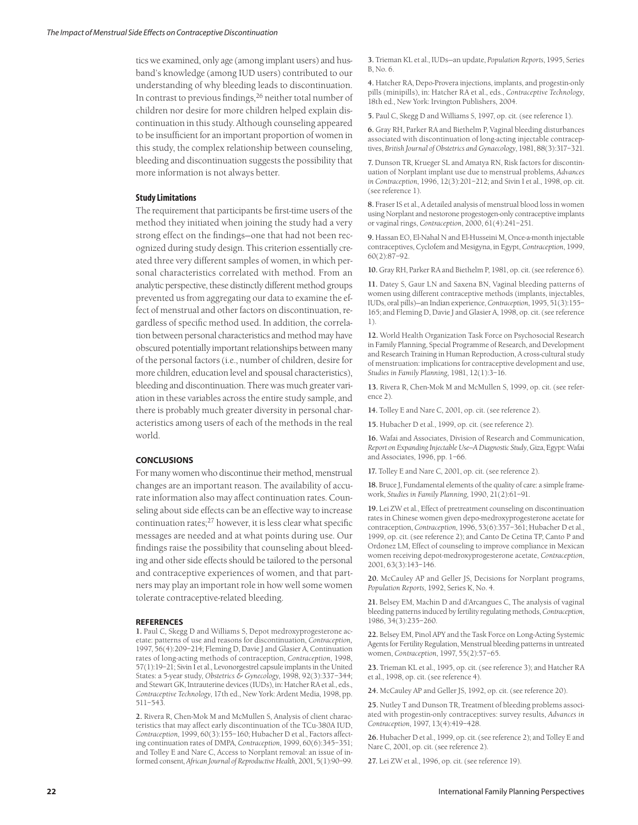tics we examined, only age (among implant users) and husband's knowledge (among IUD users) contributed to our understanding of why bleeding leads to discontinuation. In contrast to previous findings,  $26$  neither total number of children nor desire for more children helped explain discontinuation in this study. Although counseling appeared to be insufficient for an important proportion of women in this study, the complex relationship between counseling, bleeding and discontinuation suggests the possibility that more information is not always better.

#### **Study Limitations**

The requirement that participants be first-time users of the method they initiated when joining the study had a very strong effect on the findings—one that had not been recognized during study design. This criterion essentially created three very different samples of women, in which personal characteristics correlated with method. From an analytic perspective, these distinctly different method groups prevented us from aggregating our data to examine the effect of menstrual and other factors on discontinuation, regardless of specific method used. In addition, the correlation between personal characteristics and method may have obscured potentially important relationships between many of the personal factors (i.e., number of children, desire for more children, education level and spousal characteristics), bleeding and discontinuation. There was much greater variation in these variables across the entire study sample, and there is probably much greater diversity in personal characteristics among users of each of the methods in the real world.

## **CONCLUSIONS**

For many women who discontinue their method, menstrual changes are an important reason. The availability of accurate information also may affect continuation rates. Counseling about side effects can be an effective way to increase continuation rates; $^{27}$  however, it is less clear what specific messages are needed and at what points during use. Our findings raise the possibility that counseling about bleeding and other side effects should be tailored to the personal and contraceptive experiences of women, and that partners may play an important role in how well some women tolerate contraceptive-related bleeding.

#### **REFERENCES**

**1.** Paul C, Skegg D and Williams S, Depot medroxyprogesterone acetate: patterns of use and reasons for discontinuation, *Contraception,* 1997, 56(4):209–214; Fleming D, Davie J and Glasier A, Continuation rates of long-acting methods of contraception, *Contraception*, 1998, 57(1):19–21; Sivin I et al., Levonorgestrel capsule implants in the United States: a 5-year study, *Obstetrics & Gynecology*, 1998, 92(3):337–344; and Stewart GK, Intrauterine devices (IUDs), in: Hatcher RA et al., eds., *Contraceptive Technology*, 17th ed., New York: Ardent Media, 1998, pp. 511–543.

**2.** Rivera R, Chen-Mok M and McMullen S, Analysis of client characteristics that may affect early discontinuation of the TCu-380A IUD, *Contraception*, 1999, 60(3):155–160; Hubacher D et al., Factors affecting continuation rates of DMPA, *Contraception*, 1999, 60(6):345–351; and Tolley E and Nare C, Access to Norplant removal: an issue of informed consent, *African Journal of Reproductive Health*, 2001, 5(1):90–99.

**3.** Trieman KL et al., IUDs—an update, *Population Reports*, 1995, Series B, No. 6.

**4.** Hatcher RA, Depo-Provera injections, implants, and progestin-only pills (minipills), in: Hatcher RA et al., eds., *Contraceptive Technology*, 18th ed., New York: Irvington Publishers, 2004.

**5.** Paul C, Skegg D and Williams S, 1997, op. cit. (see reference 1).

**6.** Gray RH, Parker RA and Biethelm P, Vaginal bleeding disturbances associated with discontinuation of long-acting injectable contraceptives, *British Journal of Obstetrics and Gynaecology*, 1981, 88(3):317–321.

**7.** Dunson TR, Krueger SL and Amatya RN, Risk factors for discontinuation of Norplant implant use due to menstrual problems, *Advances in Contraception*, 1996, 12(3):201–212; and Sivin I et al., 1998, op. cit. (see reference 1).

**8.** Fraser IS et al., A detailed analysis of menstrual blood loss in women using Norplant and nestorone progestogen-only contraceptive implants or vaginal rings, *Contraception*, 2000, 61(4):241–251.

**9.** Hassan EO, El-Nahal N and El-Husseini M, Once-a-month injectable contraceptives, Cyclofem and Mesigyna, in Egypt, *Contraception*, 1999, 60(2):87–92.

**10.** Gray RH, Parker RA and Biethelm P, 1981, op. cit. (see reference 6).

**11.** Datey S, Gaur LN and Saxena BN, Vaginal bleeding patterns of women using different contraceptive methods (implants, injectables, IUDs, oral pills)—an Indian experience, *Contraception*, 1995, 51(3):155– 165; and Fleming D, Davie J and Glasier A, 1998, op. cit. (see reference 1).

**12.** World Health Organization Task Force on Psychosocial Research in Family Planning, Special Programme of Research, and Development and Research Training in Human Reproduction, A cross-cultural study of menstruation: implications for contraceptive development and use, *Studies in Family Planning*, 1981, 12(1):3–16.

**13.** Rivera R, Chen-Mok M and McMullen S, 1999, op. cit. (see reference 2).

**14.** Tolley E and Nare C, 2001, op. cit. (see reference 2).

**15.** Hubacher D et al., 1999, op. cit. (see reference 2).

**16.** Wafai and Associates, Division of Research and Communication, *Report on Expanding Injectable Use—A Diagnostic Study*, Giza, Egypt: Wafai and Associates, 1996, pp. 1–66.

**17.** Tolley E and Nare C, 2001, op. cit. (see reference 2).

**18.** Bruce J, Fundamental elements of the quality of care: a simple framework, *Studies in Family Planning*, 1990, 21(2):61–91.

**19.** Lei ZW et al., Effect of pretreatment counseling on discontinuation rates in Chinese women given depo-medroxyprogesterone acetate for contraception, *Contraception*, 1996, 53(6):357–361; Hubacher D et al., 1999, op. cit. (see reference 2); and Canto De Cetina TP, Canto P and Ordonez LM, Effect of counseling to improve compliance in Mexican women receiving depot-medroxyprogesterone acetate, *Contraception*, 2001, 63(3):143–146.

**20.** McCauley AP and Geller JS, Decisions for Norplant programs, *Population Reports*, 1992, Series K, No. 4.

**21.** Belsey EM, Machin D and d'Arcangues C, The analysis of vaginal bleeding patterns induced by fertility regulating methods, *Contraception*, 1986, 34(3):235–260.

**22.** Belsey EM, Pinol APY and the Task Force on Long-Acting Systemic Agents for Fertility Regulation, Menstrual bleeding patterns in untreated women, *Contraception*, 1997, 55(2):57–65.

**23.** Trieman KL et al., 1995, op. cit. (see reference 3); and Hatcher RA et al., 1998, op. cit. (see reference 4).

**24.** McCauley AP and Geller JS, 1992, op. cit. (see reference 20).

**25.** Nutley T and Dunson TR, Treatment of bleeding problems associated with progestin-only contraceptives: survey results, *Advances in Contraception*, 1997, 13(4):419–428.

**26.** Hubacher D et al., 1999, op. cit. (see reference 2); and Tolley E and Nare C, 2001, op. cit. (see reference 2).

**27.** Lei ZW et al., 1996, op. cit. (see reference 19).